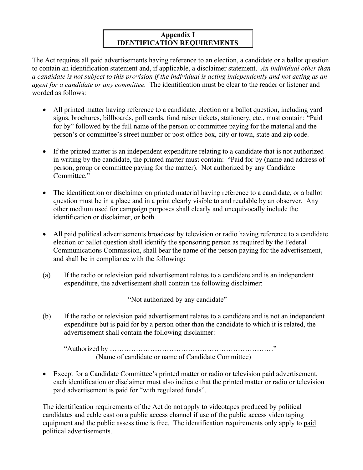## **Appendix I IDENTIFICATION REQUIREMENTS**

The Act requires all paid advertisements having reference to an election, a candidate or a ballot question to contain an identification statement and, if applicable, a disclaimer statement. *An individual other than a candidate is not subject to this provision if the individual is acting independently and not acting as an agent for a candidate or any committee.* The identification must be clear to the reader or listener and worded as follows:

- All printed matter having reference to a candidate, election or a ballot question, including yard signs, brochures, billboards, poll cards, fund raiser tickets, stationery, etc., must contain: "Paid for by" followed by the full name of the person or committee paying for the material and the person's or committee's street number or post office box, city or town, state and zip code.
- If the printed matter is an independent expenditure relating to a candidate that is not authorized in writing by the candidate, the printed matter must contain: "Paid for by (name and address of person, group or committee paying for the matter). Not authorized by any Candidate Committee."
- The identification or disclaimer on printed material having reference to a candidate, or a ballot question must be in a place and in a print clearly visible to and readable by an observer. Any other medium used for campaign purposes shall clearly and unequivocally include the identification or disclaimer, or both.
- All paid political advertisements broadcast by television or radio having reference to a candidate election or ballot question shall identify the sponsoring person as required by the Federal Communications Commission, shall bear the name of the person paying for the advertisement, and shall be in compliance with the following:
- (a) If the radio or television paid advertisement relates to a candidate and is an independent expenditure, the advertisement shall contain the following disclaimer:

"Not authorized by any candidate"

(b) If the radio or television paid advertisement relates to a candidate and is not an independent expenditure but is paid for by a person other than the candidate to which it is related, the advertisement shall contain the following disclaimer:

 "Authorized by ……………………………………………………………" (Name of candidate or name of Candidate Committee)

• Except for a Candidate Committee's printed matter or radio or television paid advertisement, each identification or disclaimer must also indicate that the printed matter or radio or television paid advertisement is paid for "with regulated funds".

The identification requirements of the Act do not apply to videotapes produced by political candidates and cable cast on a public access channel if use of the public access video taping equipment and the public assess time is free. The identification requirements only apply to paid political advertisements.